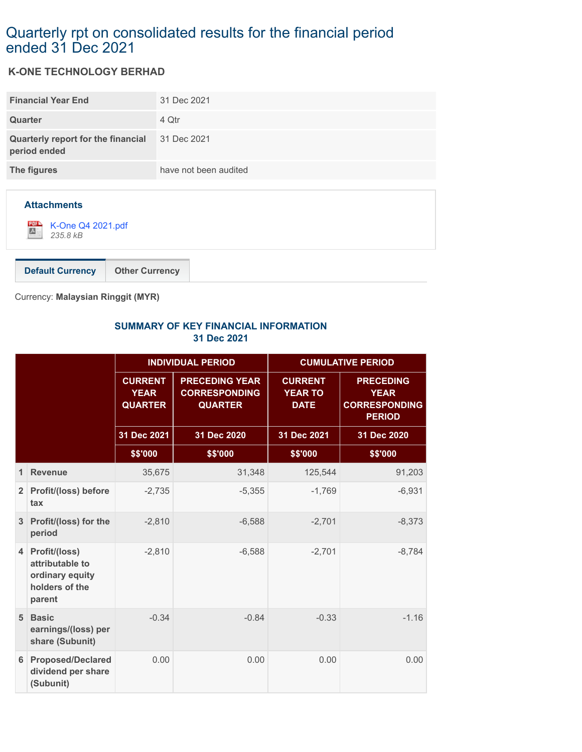## Quarterly rpt on consolidated results for the financial period ended 31 Dec 2021

## **K-ONE TECHNOLOGY BERHAD**

| <b>Financial Year End</b>                          | 31 Dec 2021           |
|----------------------------------------------------|-----------------------|
| Quarter                                            | 4 Qtr                 |
| Quarterly report for the financial<br>period ended | 31 Dec 2021           |
| The figures                                        | have not been audited |
|                                                    |                       |



Currency: **Malaysian Ringgit (MYR)**

## **SUMMARY OF KEY FINANCIAL INFORMATION 31 Dec 2021**

|                |                                                                                   | <b>INDIVIDUAL PERIOD</b>                        |                                                                 | <b>CUMULATIVE PERIOD</b>                        |                                                                          |
|----------------|-----------------------------------------------------------------------------------|-------------------------------------------------|-----------------------------------------------------------------|-------------------------------------------------|--------------------------------------------------------------------------|
|                |                                                                                   | <b>CURRENT</b><br><b>YEAR</b><br><b>QUARTER</b> | <b>PRECEDING YEAR</b><br><b>CORRESPONDING</b><br><b>QUARTER</b> | <b>CURRENT</b><br><b>YEAR TO</b><br><b>DATE</b> | <b>PRECEDING</b><br><b>YEAR</b><br><b>CORRESPONDING</b><br><b>PERIOD</b> |
|                |                                                                                   | 31 Dec 2021                                     | 31 Dec 2020                                                     | 31 Dec 2021                                     | 31 Dec 2020                                                              |
|                |                                                                                   | \$\$'000                                        | \$\$'000                                                        | \$\$'000                                        | \$\$'000                                                                 |
| 1              | <b>Revenue</b>                                                                    | 35,675                                          | 31,348                                                          | 125,544                                         | 91,203                                                                   |
|                | 2 Profit/(loss) before<br>tax                                                     | $-2,735$                                        | $-5,355$                                                        | $-1,769$                                        | $-6,931$                                                                 |
| 3 <sup>1</sup> | Profit/(loss) for the<br>period                                                   | $-2,810$                                        | $-6,588$                                                        | $-2,701$                                        | $-8,373$                                                                 |
|                | 4 Profit/(loss)<br>attributable to<br>ordinary equity<br>holders of the<br>parent | $-2,810$                                        | $-6,588$                                                        | $-2,701$                                        | $-8,784$                                                                 |
| 5 <sup>1</sup> | <b>Basic</b><br>earnings/(loss) per<br>share (Subunit)                            | $-0.34$                                         | $-0.84$                                                         | $-0.33$                                         | $-1.16$                                                                  |
| 6 <sup>1</sup> | <b>Proposed/Declared</b><br>dividend per share<br>(Subunit)                       | 0.00                                            | 0.00                                                            | 0.00                                            | 0.00                                                                     |